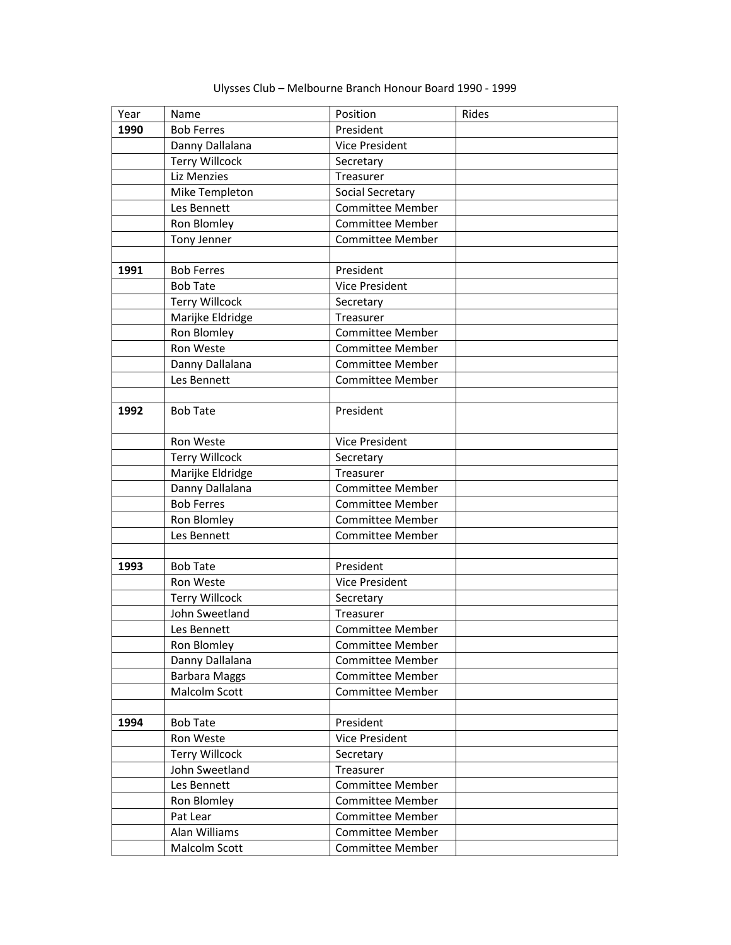| Year | Name                  | Position                | Rides |
|------|-----------------------|-------------------------|-------|
| 1990 | <b>Bob Ferres</b>     | President               |       |
|      | Danny Dallalana       | Vice President          |       |
|      | <b>Terry Willcock</b> | Secretary               |       |
|      | Liz Menzies           | Treasurer               |       |
|      | Mike Templeton        | Social Secretary        |       |
|      | Les Bennett           | <b>Committee Member</b> |       |
|      | Ron Blomley           | <b>Committee Member</b> |       |
|      | Tony Jenner           | <b>Committee Member</b> |       |
|      |                       |                         |       |
| 1991 | <b>Bob Ferres</b>     | President               |       |
|      | <b>Bob Tate</b>       | <b>Vice President</b>   |       |
|      | <b>Terry Willcock</b> | Secretary               |       |
|      | Marijke Eldridge      | Treasurer               |       |
|      | Ron Blomley           | <b>Committee Member</b> |       |
|      | Ron Weste             | <b>Committee Member</b> |       |
|      | Danny Dallalana       | <b>Committee Member</b> |       |
|      | Les Bennett           | <b>Committee Member</b> |       |
|      |                       |                         |       |
| 1992 | <b>Bob Tate</b>       | President               |       |
|      |                       |                         |       |
|      | Ron Weste             | Vice President          |       |
|      | <b>Terry Willcock</b> | Secretary               |       |
|      | Marijke Eldridge      | Treasurer               |       |
|      | Danny Dallalana       | <b>Committee Member</b> |       |
|      | <b>Bob Ferres</b>     | Committee Member        |       |
|      | Ron Blomley           | <b>Committee Member</b> |       |
|      | Les Bennett           | <b>Committee Member</b> |       |
|      |                       |                         |       |
| 1993 | <b>Bob Tate</b>       | President               |       |
|      | Ron Weste             | <b>Vice President</b>   |       |
|      | <b>Terry Willcock</b> | Secretary               |       |
|      | John Sweetland        | Treasurer               |       |
|      | Les Bennett           | <b>Committee Member</b> |       |
|      | Ron Blomley           | <b>Committee Member</b> |       |
|      | Danny Dallalana       | Committee Member        |       |
|      | <b>Barbara Maggs</b>  | <b>Committee Member</b> |       |
|      | Malcolm Scott         | <b>Committee Member</b> |       |
|      |                       |                         |       |
| 1994 | <b>Bob Tate</b>       | President               |       |
|      | Ron Weste             | Vice President          |       |
|      | <b>Terry Willcock</b> | Secretary               |       |
|      | John Sweetland        | Treasurer               |       |
|      | Les Bennett           | Committee Member        |       |
|      | Ron Blomley           | <b>Committee Member</b> |       |
|      | Pat Lear              | <b>Committee Member</b> |       |
|      | Alan Williams         | <b>Committee Member</b> |       |
|      | Malcolm Scott         | Committee Member        |       |

Ulysses Club – Melbourne Branch Honour Board 1990 - 1999